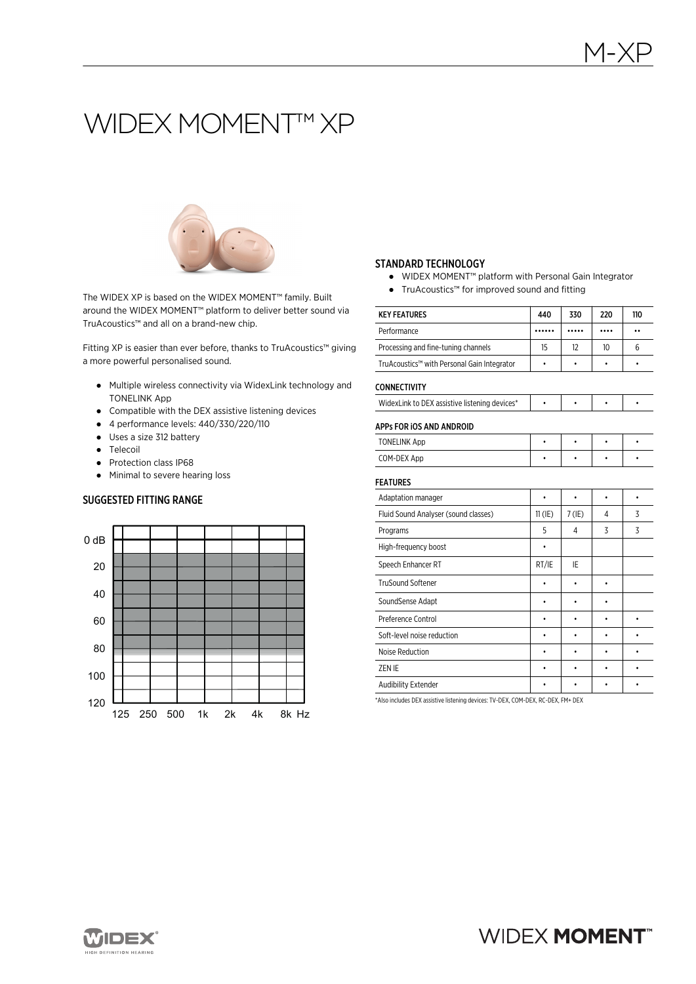# WIDEX MOMENT<sup>™</sup> XP



The WIDEX XP is based on the WIDEX MOMENT™ family. Built around the WIDEX MOMENT™ platform to deliver better sound via TruAcoustics™ and all on a brand-new chip.

Fitting XP is easier than ever before, thanks to TruAcoustics™ giving a more powerful personalised sound.

- Multiple wireless connectivity via WidexLink technology and TONELINK App
- Compatible with the DEX assistive listening devices
- 4 performance levels: 440/330/220/110
- Uses a size 312 battery
- Telecoil
- Protection class IP68
- Minimal to severe hearing loss

## SUGGESTED FITTING RANGE



#### STANDARD TECHNOLOGY

- WIDEX MOMENT™ platform with Personal Gain Integrator
- TruAcoustics™ for improved sound and fitting

|                                               |           |           | 220       |           |
|-----------------------------------------------|-----------|-----------|-----------|-----------|
| <b>KEY FEATURES</b>                           | 440       | 330       |           | 110       |
| Performance                                   |           |           |           | ٠.        |
| Processing and fine-tuning channels           | 15        | 12        | 10        | 6         |
| TruAcoustics™ with Personal Gain Integrator   | $\bullet$ |           | ۰         | ٠         |
| <b>CONNECTIVITY</b>                           |           |           |           |           |
| WidexLink to DEX assistive listening devices* | ۰         | ٠         | $\bullet$ | ٠         |
| APPs FOR IOS AND ANDROID                      |           |           |           |           |
| <b>TONELINK App</b>                           | $\bullet$ | $\bullet$ | $\bullet$ | $\bullet$ |
| COM-DEX App                                   | ٠         | ٠         | ٠         |           |
| <b>FEATURES</b>                               |           |           |           |           |
| Adaptation manager                            | $\bullet$ | $\bullet$ | $\bullet$ | $\bullet$ |
| Fluid Sound Analyser (sound classes)          | $11$ (IE) | $7$ (IE)  | 4         | 3         |
| Programs                                      | 5         | 4         | 3         | 3         |
| High-frequency boost                          | ٠         |           |           |           |
| Speech Enhancer RT                            | RT/IE     | IE        |           |           |
| <b>TruSound Softener</b>                      | ٠         |           | ۰         |           |
| SoundSense Adapt                              | ٠         | ٠         | ٠         |           |
| Preference Control                            |           |           |           | $\bullet$ |
| Soft-level noise reduction                    | ٠         |           |           | ٠         |
| Noise Reduction                               | ٠         |           | ٠         | ٠         |
| ZEN IE                                        | ٠         |           | ٠         | ٠         |
| Audibility Extender                           | ٠         |           | ٠         |           |

\*Also includes DEX assistive listening devices: TV-DEX, COM-DEX, RC-DEX, FM+ DEX